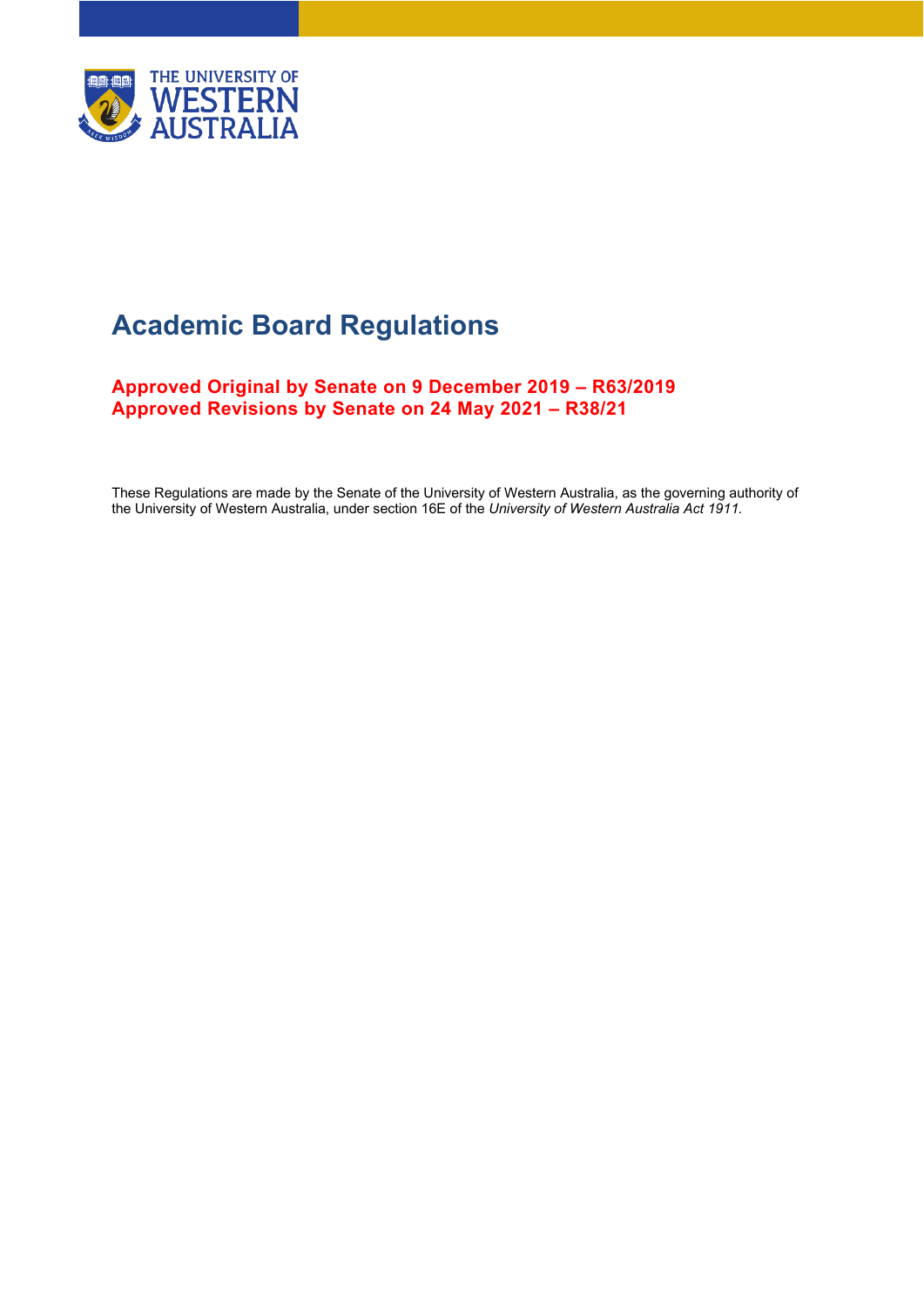

# **Academic Board Regulations**

**Approved Original by Senate on 9 December 2019 – R63/2019 Approved Revisions by Senate on 24 May 2021 – R38/21**

These Regulations are made by the Senate of the University of Western Australia, as the governing authority of the University of Western Australia, under section 16E of the *University of Western Australia Act 1911.*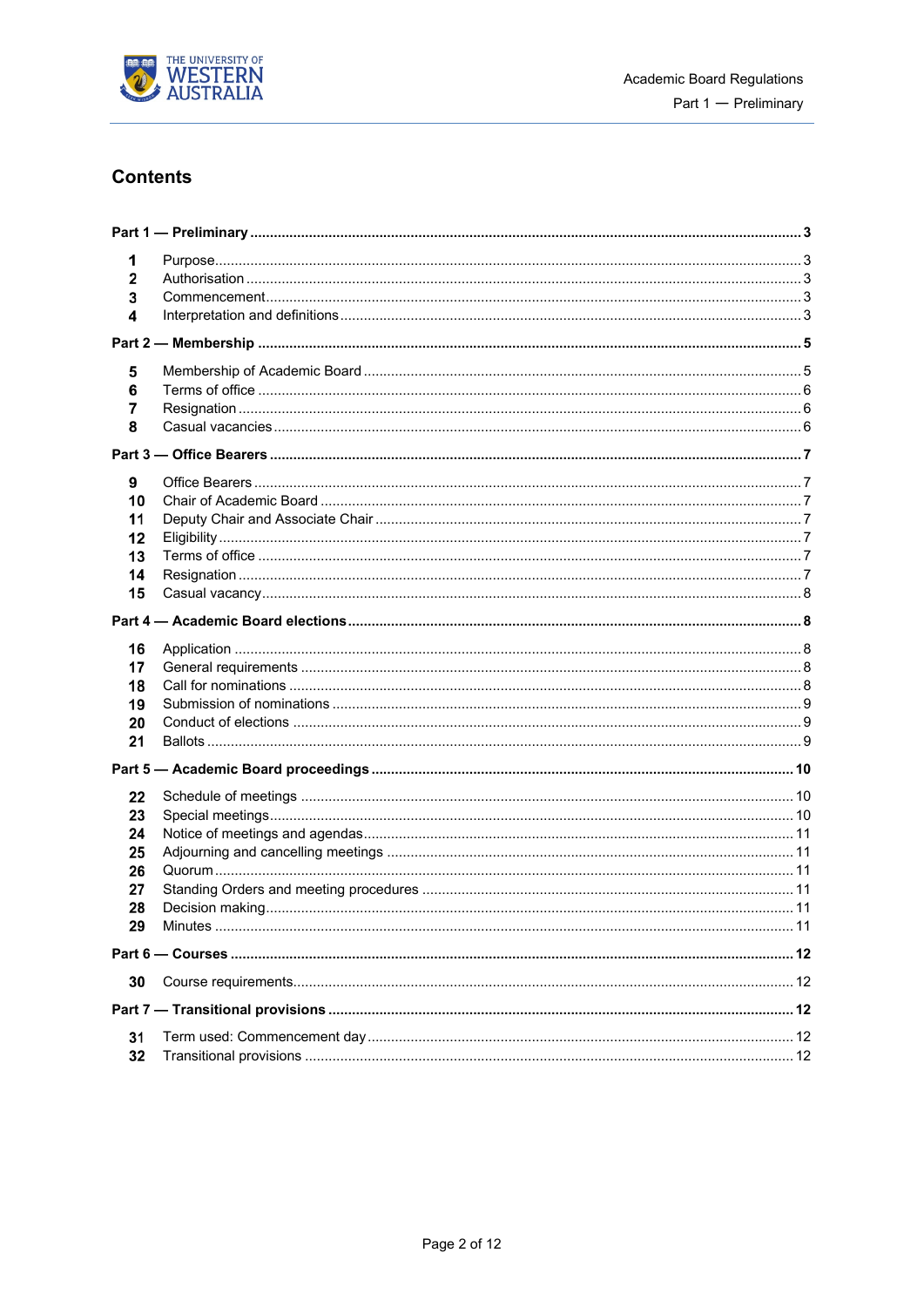

## **Contents**

| 1<br>$\mathbf{2}$<br>3<br>4                  |  |  |  |  |  |
|----------------------------------------------|--|--|--|--|--|
|                                              |  |  |  |  |  |
| 5<br>6<br>7<br>8                             |  |  |  |  |  |
|                                              |  |  |  |  |  |
| 9<br>10<br>11<br>12<br>13<br>14<br>15        |  |  |  |  |  |
|                                              |  |  |  |  |  |
| 16<br>17<br>18<br>19<br>20<br>21             |  |  |  |  |  |
|                                              |  |  |  |  |  |
| 22<br>23<br>24<br>25<br>26<br>27<br>28<br>29 |  |  |  |  |  |
|                                              |  |  |  |  |  |
| 30                                           |  |  |  |  |  |
|                                              |  |  |  |  |  |
| 31<br>32                                     |  |  |  |  |  |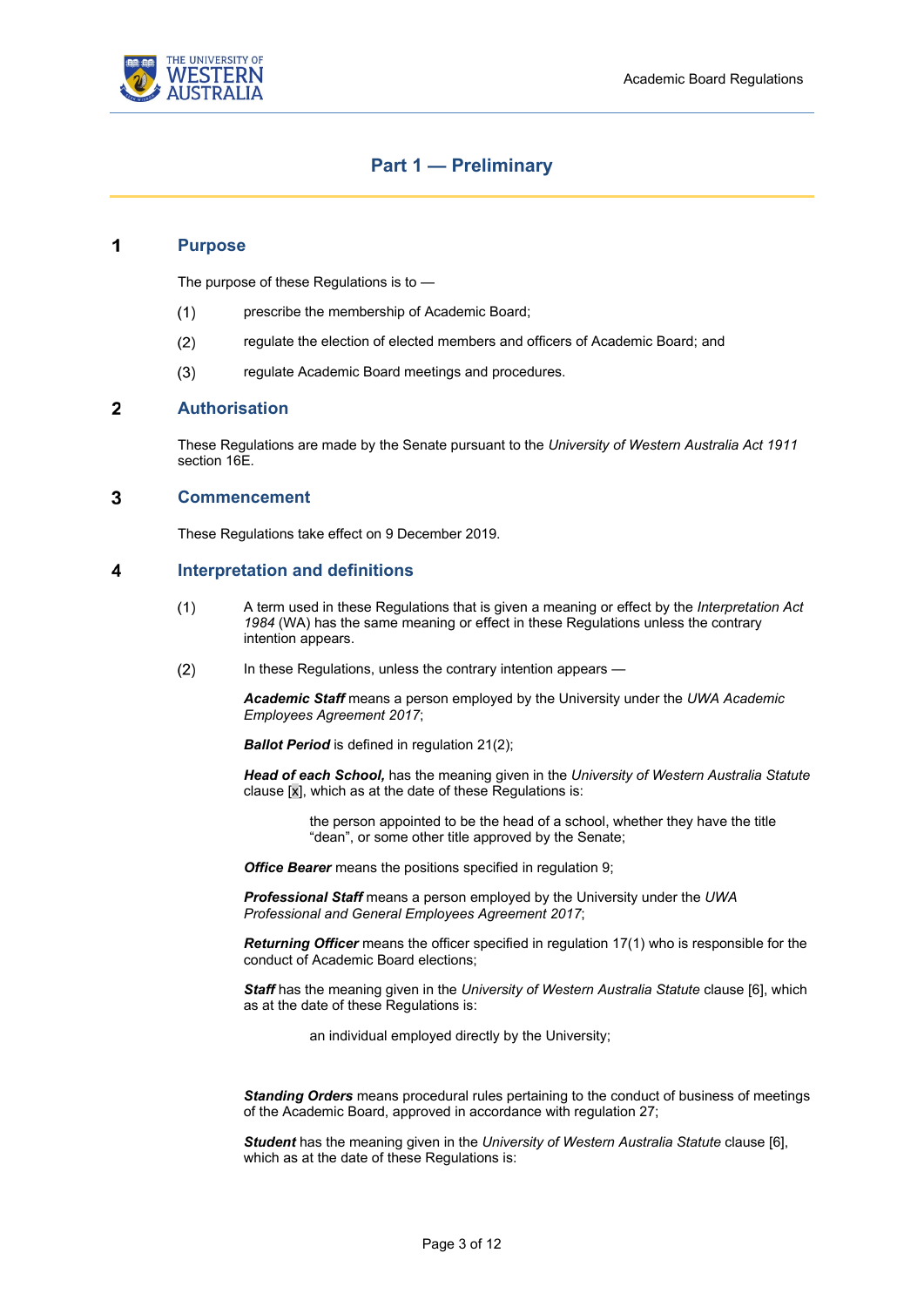

## **Part 1 — Preliminary**

#### <span id="page-2-1"></span><span id="page-2-0"></span>1 **Purpose**

The purpose of these Regulations is to —

- $(1)$ prescribe the membership of Academic Board;
- $(2)$ regulate the election of elected members and officers of Academic Board; and
- $(3)$ regulate Academic Board meetings and procedures.

#### <span id="page-2-2"></span> $\overline{2}$ **Authorisation**

These Regulations are made by the Senate pursuant to the *University of Western Australia Act 1911*  section 16E*.*

#### <span id="page-2-3"></span>3 **Commencement**

These Regulations take effect on 9 December 2019.

#### <span id="page-2-4"></span> $\overline{\mathbf{4}}$ **Interpretation and definitions**

- $(1)$ A term used in these Regulations that is given a meaning or effect by the *Interpretation Act 1984* (WA) has the same meaning or effect in these Regulations unless the contrary intention appears.
- $(2)$ In these Regulations, unless the contrary intention appears —

*Academic Staff* means a person employed by the University under the *UWA Academic Employees Agreement 2017*;

**Ballot Period** is defined in regulatio[n 21](#page-8-2)[\(2\);](#page-8-3)

*Head of each School,* has the meaning given in the *University of Western Australia Statute*  clause [x], which as at the date of these Regulations is:

> the person appointed to be the head of a school, whether they have the title "dean", or some other title approved by the Senate;

*Office Bearer* means the positions specified in regulation [9;](#page-6-1)

*Professional Staff* means a person employed by the University under the *UWA Professional and General Employees Agreement 2017*;

*Returning Officer* means the officer specified in regulatio[n 17](#page-7-3)[\(1\)](#page-7-5) who is responsible for the conduct of Academic Board elections;

*Staff* has the meaning given in the *University of Western Australia Statute* clause [6], which as at the date of these Regulations is:

an individual employed directly by the University;

*Standing Orders* means procedural rules pertaining to the conduct of business of meetings of the Academic Board, approved in accordance with regulation [27;](#page-10-3)

*Student* has the meaning given in the *University of Western Australia Statute* clause [6], which as at the date of these Regulations is: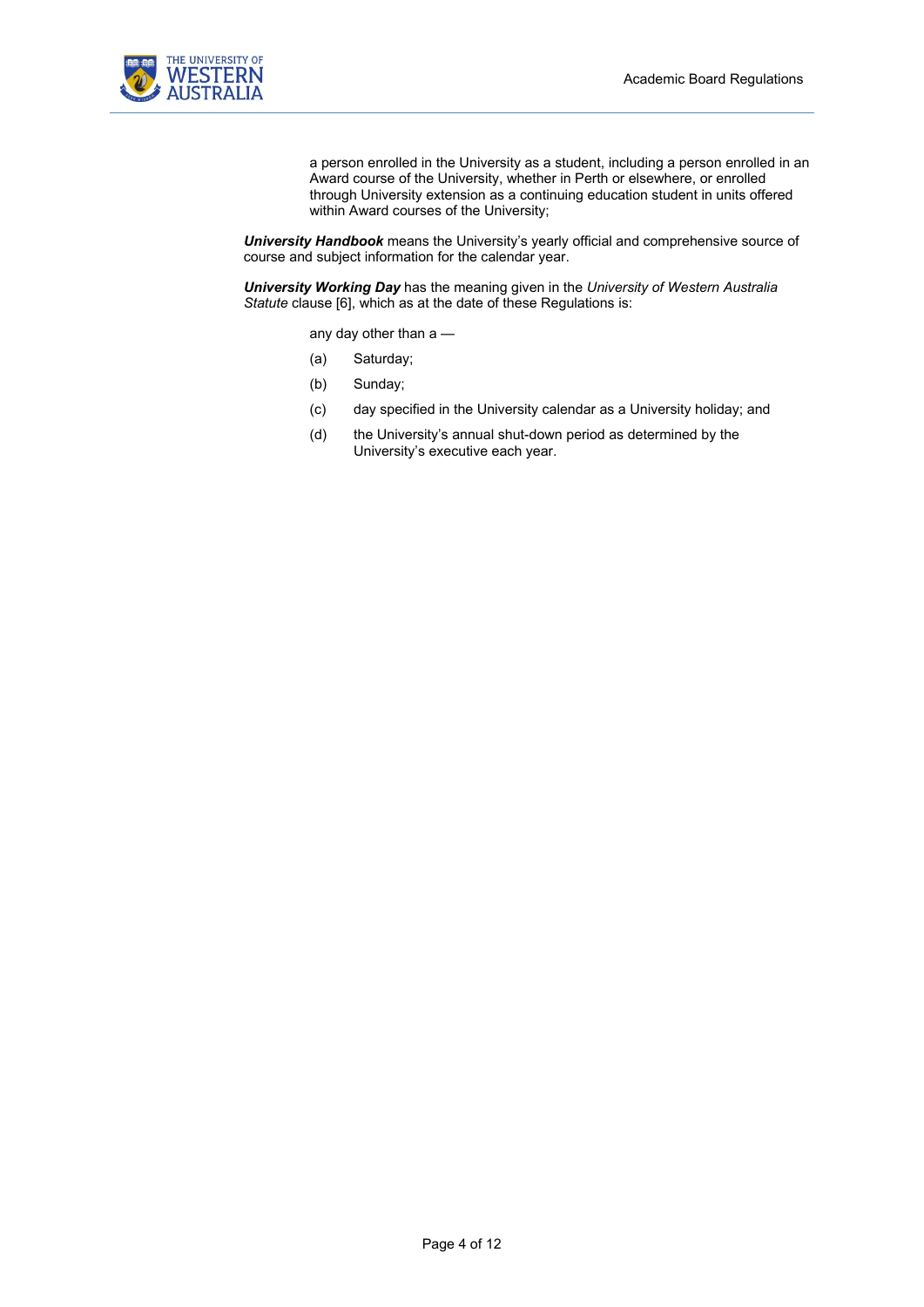

a person enrolled in the University as a student, including a person enrolled in an Award course of the University, whether in Perth or elsewhere, or enrolled through University extension as a continuing education student in units offered within Award courses of the University;

*University Handbook* means the University's yearly official and comprehensive source of course and subject information for the calendar year.

*University Working Day* has the meaning given in the *University of Western Australia Statute* clause [6], which as at the date of these Regulations is:

any day other than a —

- (a) Saturday;
- (b) Sunday;
- (c) day specified in the University calendar as a University holiday; and
- (d) the University's annual shut-down period as determined by the University's executive each year.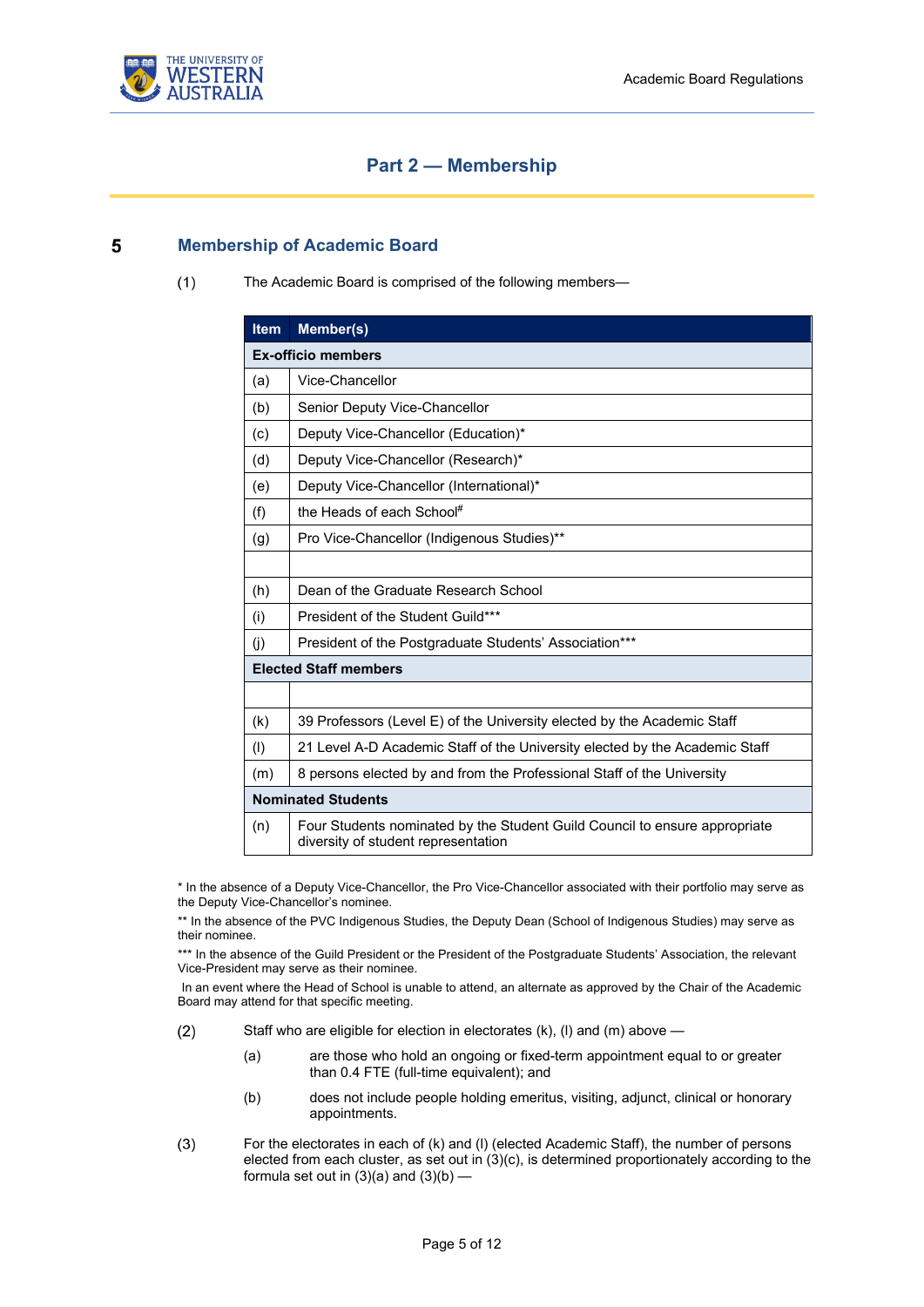

### **Part 2 — Membership**

#### <span id="page-4-2"></span><span id="page-4-1"></span><span id="page-4-0"></span>5 **Membership of Academic Board**

 $(1)$ The Academic Board is comprised of the following members—

| <b>Item</b>                  | Member(s)                                                                                                         |  |  |  |
|------------------------------|-------------------------------------------------------------------------------------------------------------------|--|--|--|
| <b>Ex-officio members</b>    |                                                                                                                   |  |  |  |
| (a)                          | Vice-Chancellor                                                                                                   |  |  |  |
| (b)                          | Senior Deputy Vice-Chancellor                                                                                     |  |  |  |
| (c)                          | Deputy Vice-Chancellor (Education)*                                                                               |  |  |  |
| (d)                          | Deputy Vice-Chancellor (Research)*                                                                                |  |  |  |
| (e)                          | Deputy Vice-Chancellor (International)*                                                                           |  |  |  |
| (f)                          | the Heads of each School#                                                                                         |  |  |  |
| (g)                          | Pro Vice-Chancellor (Indigenous Studies)**                                                                        |  |  |  |
|                              |                                                                                                                   |  |  |  |
| (h)                          | Dean of the Graduate Research School                                                                              |  |  |  |
| (i)                          | President of the Student Guild***                                                                                 |  |  |  |
| (i)                          | President of the Postgraduate Students' Association***                                                            |  |  |  |
| <b>Elected Staff members</b> |                                                                                                                   |  |  |  |
|                              |                                                                                                                   |  |  |  |
| (k)                          | 39 Professors (Level E) of the University elected by the Academic Staff                                           |  |  |  |
| (1)                          | 21 Level A-D Academic Staff of the University elected by the Academic Staff                                       |  |  |  |
| (m)                          | 8 persons elected by and from the Professional Staff of the University                                            |  |  |  |
| <b>Nominated Students</b>    |                                                                                                                   |  |  |  |
| (n)                          | Four Students nominated by the Student Guild Council to ensure appropriate<br>diversity of student representation |  |  |  |

\* In the absence of a Deputy Vice-Chancellor, the Pro Vice-Chancellor associated with their portfolio may serve as the Deputy Vice-Chancellor's nominee.

\*\* In the absence of the PVC Indigenous Studies, the Deputy Dean (School of Indigenous Studies) may serve as their nominee.

\*\*\* In the absence of the Guild President or the President of the Postgraduate Students' Association, the relevant Vice-President may serve as their nominee.

In an event where the Head of School is unable to attend, an alternate as approved by the Chair of the Academic Board may attend for that specific meeting.

- $(2)$ Staff who are eligible for election in electorates  $(k)$ ,  $(l)$  and  $(m)$  above  $-$ 
	- (a) are those who hold an ongoing or fixed-term appointment equal to or greater than 0.4 FTE (full-time equivalent); and
	- (b) does not include people holding emeritus, visiting, adjunct, clinical or honorary appointments.
- $(3)$ For the electorates in each of (k) and (l) (elected Academic Staff), the number of persons elected from each cluster, as set out in (3)(c), is determined proportionately according to the formula set out in  $(3)(a)$  and  $(3)(b)$  —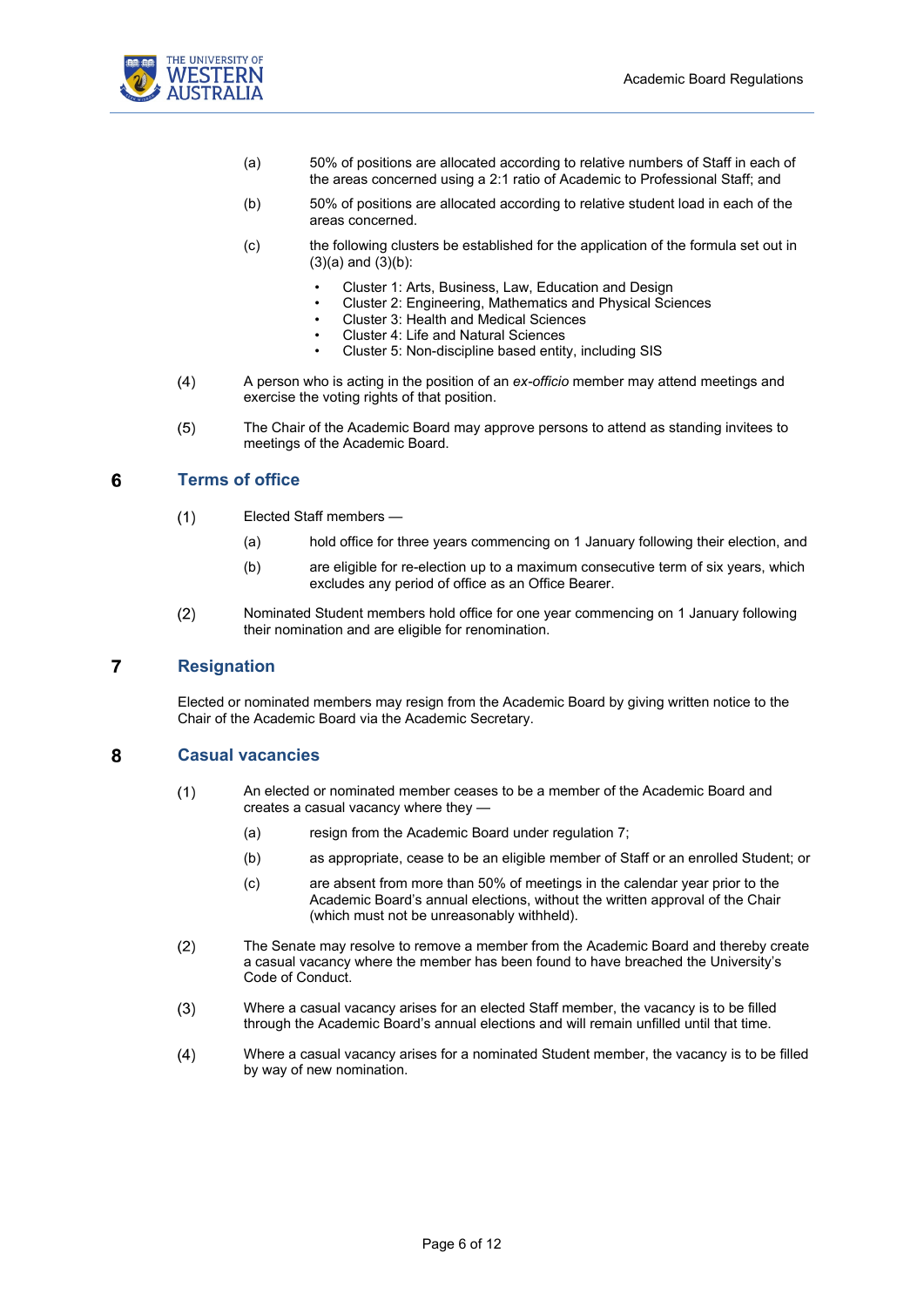

- (a) 50% of positions are allocated according to relative numbers of Staff in each of the areas concerned using a 2:1 ratio of Academic to Professional Staff; and
- (b) 50% of positions are allocated according to relative student load in each of the areas concerned.
- (c) the following clusters be established for the application of the formula set out in  $(3)(a)$  and  $(3)(b)$ :
	- Cluster 1: Arts, Business, Law, Education and Design
	- Cluster 2: Engineering, Mathematics and Physical Sciences
	- Cluster 3: Health and Medical Sciences
	- Cluster 4: Life and Natural Sciences
	- Cluster 5: Non-discipline based entity, including SIS
- $(4)$ A person who is acting in the position of an *ex-officio* member may attend meetings and exercise the voting rights of that position.
- $(5)$ The Chair of the Academic Board may approve persons to attend as standing invitees to meetings of the Academic Board.

#### <span id="page-5-0"></span>6 **Terms of office**

- $(1)$ Elected Staff members —
	- (a) hold office for three years commencing on 1 January following their election, and
	- (b) are eligible for re-election up to a maximum consecutive term of six years, which excludes any period of office as an Office Bearer.
- $(2)$ Nominated Student members hold office for one year commencing on 1 January following their nomination and are eligible for renomination.

#### <span id="page-5-1"></span> $\overline{7}$ **Resignation**

Elected or nominated members may resign from the Academic Board by giving written notice to the Chair of the Academic Board via the Academic Secretary.

#### <span id="page-5-2"></span>8 **Casual vacancies**

- $(1)$ An elected or nominated member ceases to be a member of the Academic Board and creates a casual vacancy where they —
	- (a) resign from the Academic Board under regulation [7;](#page-5-1)
	- (b) as appropriate, cease to be an eligible member of Staff or an enrolled Student; or
	- (c) are absent from more than 50% of meetings in the calendar year prior to the Academic Board's annual elections, without the written approval of the Chair (which must not be unreasonably withheld).
- $(2)$ The Senate may resolve to remove a member from the Academic Board and thereby create a casual vacancy where the member has been found to have breached the University's Code of Conduct.
- Where a casual vacancy arises for an elected Staff member, the vacancy is to be filled  $(3)$ through the Academic Board's annual elections and will remain unfilled until that time.
- $(4)$ Where a casual vacancy arises for a nominated Student member, the vacancy is to be filled by way of new nomination.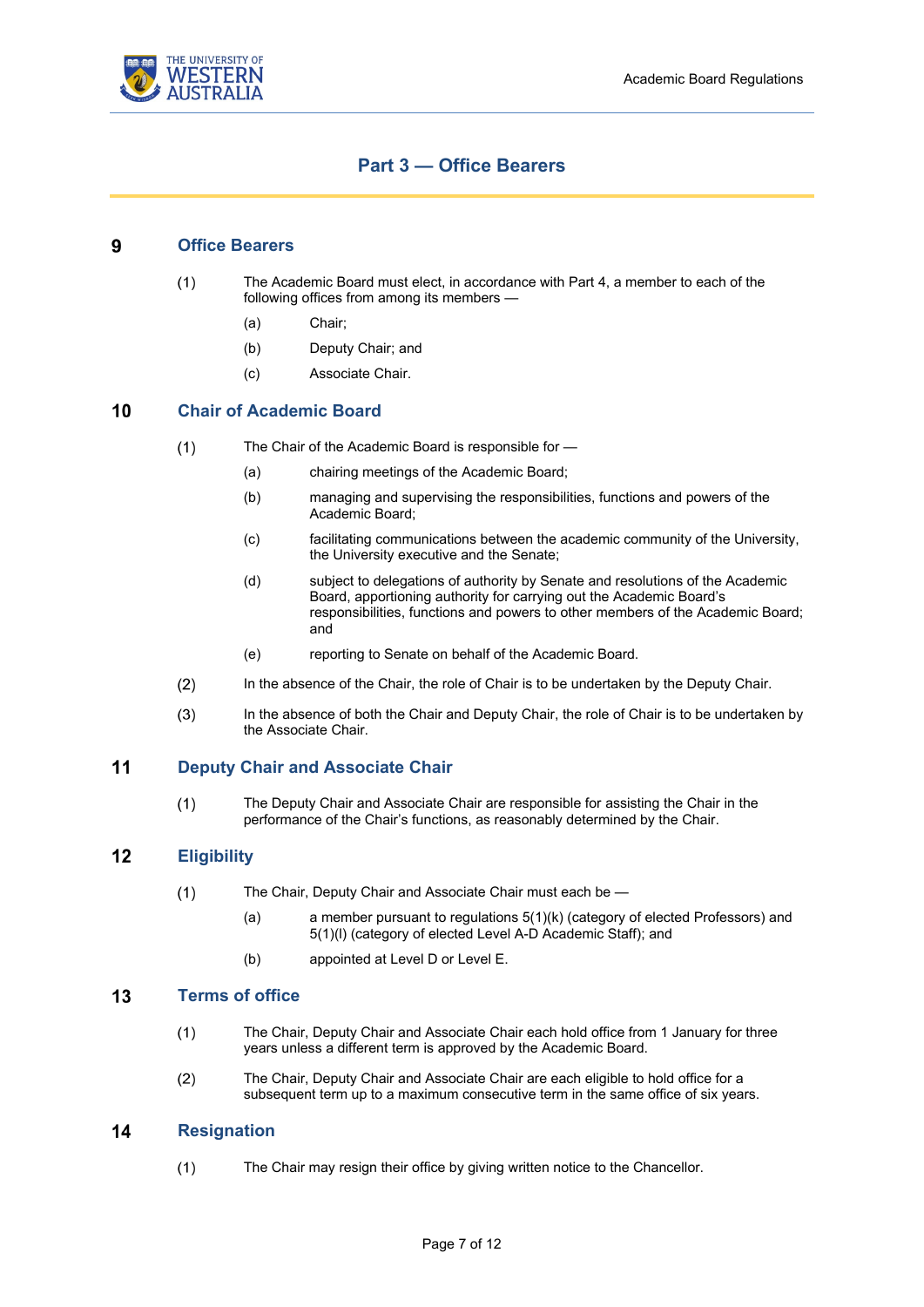

### **Part 3 — Office Bearers**

#### <span id="page-6-1"></span><span id="page-6-0"></span>9 **Office Bearers**

- The Academic Board must elect, in accordance with Part 4, a member to each of the  $(1)$ following offices from among its members —
	- (a) Chair;
	- (b) Deputy Chair; and
	- (c) Associate Chair.

#### <span id="page-6-2"></span>10 **Chair of Academic Board**

- The Chair of the Academic Board is responsible for  $(1)$ 
	- (a) chairing meetings of the Academic Board;
	- (b) managing and supervising the responsibilities, functions and powers of the Academic Board;
	- (c) facilitating communications between the academic community of the University, the University executive and the Senate;
	- (d) subject to delegations of authority by Senate and resolutions of the Academic Board, apportioning authority for carrying out the Academic Board's responsibilities, functions and powers to other members of the Academic Board; and
	- (e) reporting to Senate on behalf of the Academic Board.
- $(2)$ In the absence of the Chair, the role of Chair is to be undertaken by the Deputy Chair.
- $(3)$ In the absence of both the Chair and Deputy Chair, the role of Chair is to be undertaken by the Associate Chair.

#### <span id="page-6-3"></span> $11$ **Deputy Chair and Associate Chair**

 $(1)$ The Deputy Chair and Associate Chair are responsible for assisting the Chair in the performance of the Chair's functions, as reasonably determined by the Chair.

#### <span id="page-6-4"></span> $12$ **Eligibility**

- $(1)$ The Chair, Deputy Chair and Associate Chair must each be —
	- (a) a member pursuant to regulations [5](#page-4-1)[\(1\)\(](#page-4-2)k) (category of elected Professors) and [5](#page-4-1)[\(1\)\(](#page-4-2)l) (category of elected Level A-D Academic Staff); and
	- (b) appointed at Level D or Level E.

#### <span id="page-6-5"></span> $13$ **Terms of office**

- $(1)$ The Chair, Deputy Chair and Associate Chair each hold office from 1 January for three years unless a different term is approved by the Academic Board.
- $(2)$ The Chair, Deputy Chair and Associate Chair are each eligible to hold office for a subsequent term up to a maximum consecutive term in the same office of six years.

#### <span id="page-6-6"></span> $14$ **Resignation**

 $(1)$ The Chair may resign their office by giving written notice to the Chancellor.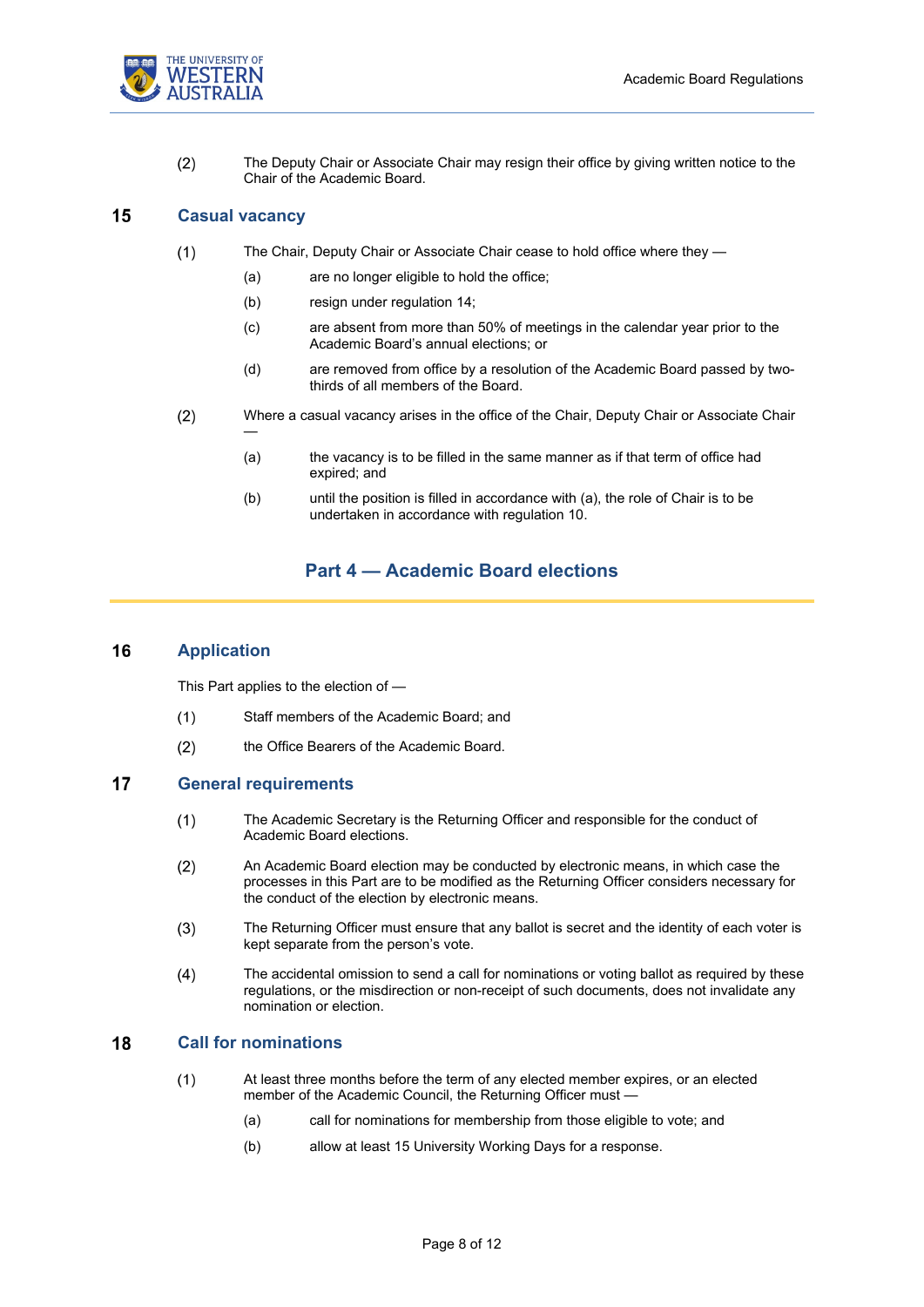

 $(2)$ The Deputy Chair or Associate Chair may resign their office by giving written notice to the Chair of the Academic Board.

#### <span id="page-7-0"></span>15 **Casual vacancy**

—

- $(1)$ The Chair, Deputy Chair or Associate Chair cease to hold office where they —
	- (a) are no longer eligible to hold the office;
	- (b) resign under regulation [14;](#page-6-6)
	- (c) are absent from more than 50% of meetings in the calendar year prior to the Academic Board's annual elections; or
	- (d) are removed from office by a resolution of the Academic Board passed by twothirds of all members of the Board.
- $(2)$ Where a casual vacancy arises in the office of the Chair, Deputy Chair or Associate Chair
	- (a) the vacancy is to be filled in the same manner as if that term of office had expired; and
	- (b) until the position is filled in accordance with (a), the role of Chair is to be undertaken in accordance with regulation [10.](#page-6-2)

### **Part 4 — Academic Board elections**

#### <span id="page-7-2"></span><span id="page-7-1"></span>16 **Application**

This Part applies to the election of —

- Staff members of the Academic Board; and  $(1)$
- $(2)$ the Office Bearers of the Academic Board.

#### <span id="page-7-5"></span><span id="page-7-3"></span> $17$ **General requirements**

- $(1)$ The Academic Secretary is the Returning Officer and responsible for the conduct of Academic Board elections.
- An Academic Board election may be conducted by electronic means, in which case the  $(2)$ processes in this Part are to be modified as the Returning Officer considers necessary for the conduct of the election by electronic means.
- $(3)$ The Returning Officer must ensure that any ballot is secret and the identity of each voter is kept separate from the person's vote.
- $(4)$ The accidental omission to send a call for nominations or voting ballot as required by these regulations, or the misdirection or non-receipt of such documents, does not invalidate any nomination or election.

#### <span id="page-7-4"></span>18 **Call for nominations**

- $(1)$ At least three months before the term of any elected member expires, or an elected member of the Academic Council, the Returning Officer must -
	- (a) call for nominations for membership from those eligible to vote; and
	- (b) allow at least 15 University Working Days for a response.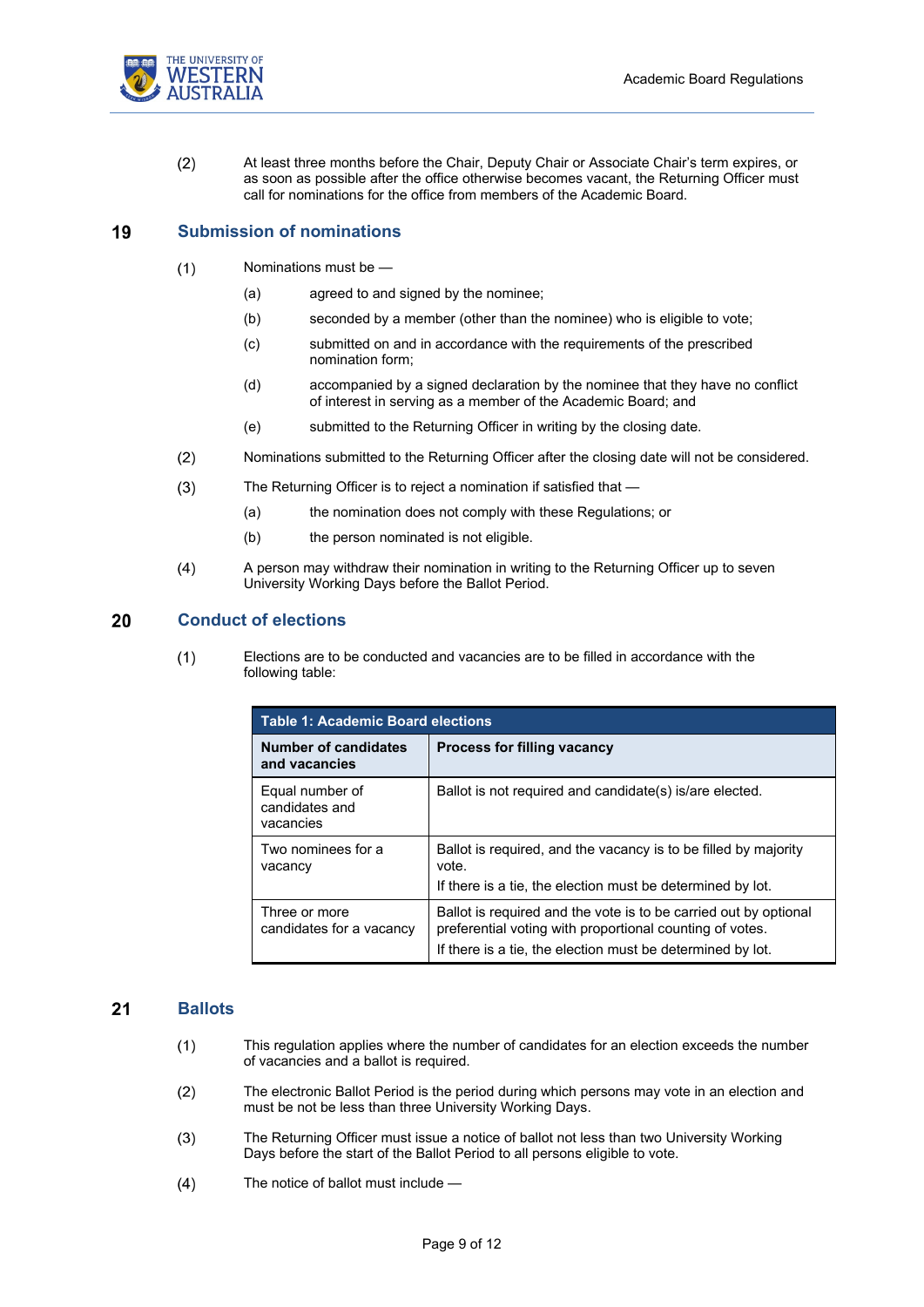$(2)$ At least three months before the Chair, Deputy Chair or Associate Chair's term expires, or as soon as possible after the office otherwise becomes vacant, the Returning Officer must call for nominations for the office from members of the Academic Board.

#### <span id="page-8-0"></span>19 **Submission of nominations**

- Nominations must be  $(1)$ 
	- (a) agreed to and signed by the nominee;
	- (b) seconded by a member (other than the nominee) who is eligible to vote;
	- (c) submitted on and in accordance with the requirements of the prescribed nomination form;
	- (d) accompanied by a signed declaration by the nominee that they have no conflict of interest in serving as a member of the Academic Board; and
	- (e) submitted to the Returning Officer in writing by the closing date.
- $(2)$ Nominations submitted to the Returning Officer after the closing date will not be considered.
- $(3)$ The Returning Officer is to reject a nomination if satisfied that —
	- (a) the nomination does not comply with these Regulations; or
	- (b) the person nominated is not eligible.
- $(4)$ A person may withdraw their nomination in writing to the Returning Officer up to seven University Working Days before the Ballot Period.

#### <span id="page-8-1"></span>20 **Conduct of elections**

 $(1)$ Elections are to be conducted and vacancies are to be filled in accordance with the following table:

| <b>Table 1: Academic Board elections</b>       |                                                                                                                                                                                            |  |  |  |  |  |
|------------------------------------------------|--------------------------------------------------------------------------------------------------------------------------------------------------------------------------------------------|--|--|--|--|--|
| <b>Number of candidates</b><br>and vacancies   | <b>Process for filling vacancy</b>                                                                                                                                                         |  |  |  |  |  |
| Equal number of<br>candidates and<br>vacancies | Ballot is not required and candidate(s) is/are elected.                                                                                                                                    |  |  |  |  |  |
| Two nominees for a<br>vacancy                  | Ballot is required, and the vacancy is to be filled by majority<br>vote.<br>If there is a tie, the election must be determined by lot.                                                     |  |  |  |  |  |
| Three or more<br>candidates for a vacancy      | Ballot is required and the vote is to be carried out by optional<br>preferential voting with proportional counting of votes.<br>If there is a tie, the election must be determined by lot. |  |  |  |  |  |

#### <span id="page-8-2"></span> $21$ **Ballots**

- $(1)$ This regulation applies where the number of candidates for an election exceeds the number of vacancies and a ballot is required.
- <span id="page-8-3"></span>The electronic Ballot Period is the period during which persons may vote in an election and  $(2)$ must be not be less than three University Working Days.
- $(3)$ The Returning Officer must issue a notice of ballot not less than two University Working Days before the start of the Ballot Period to all persons eligible to vote.
- $(4)$ The notice of ballot must include —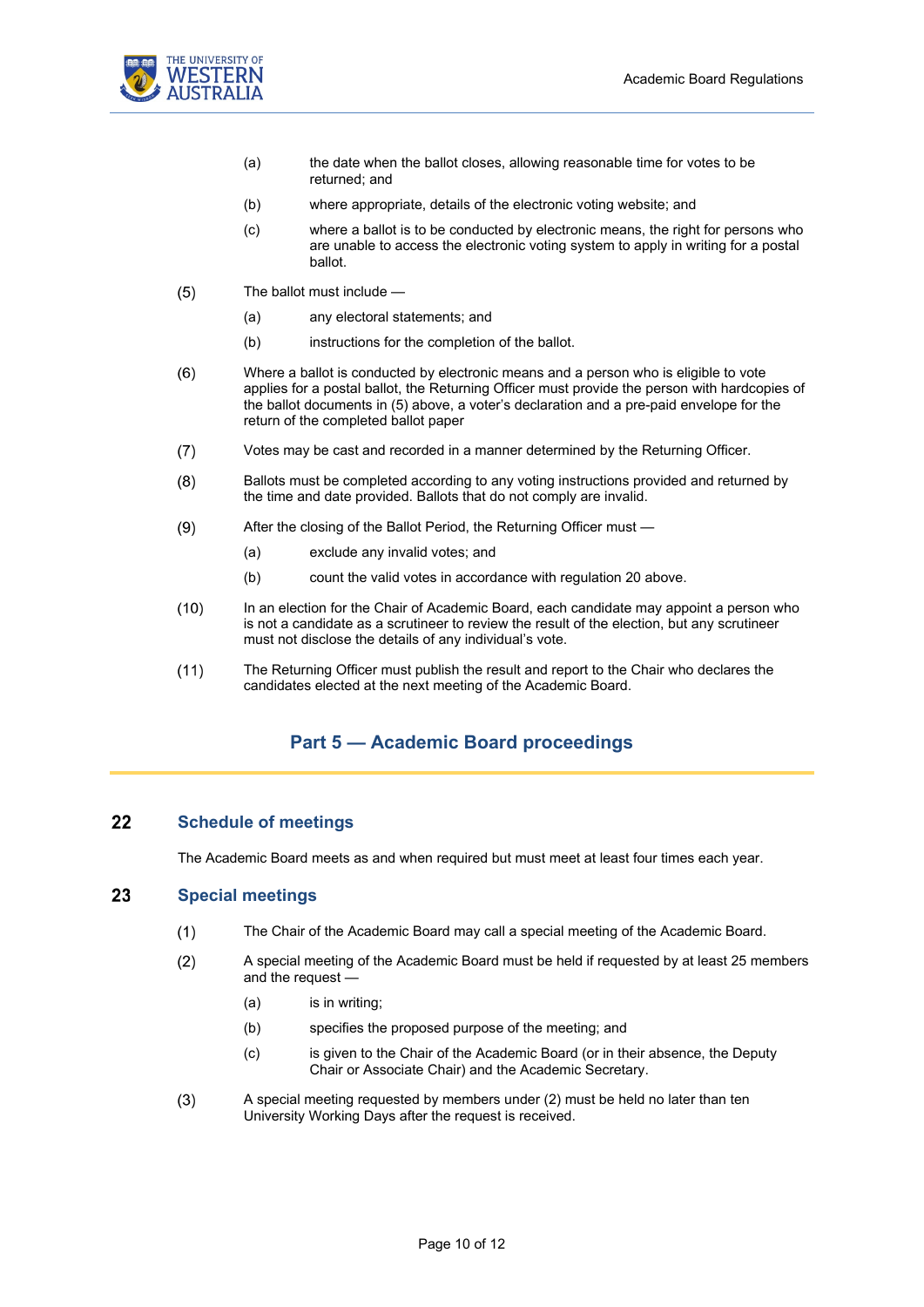

- (a) the date when the ballot closes, allowing reasonable time for votes to be returned; and
- (b) where appropriate, details of the electronic voting website; and
- (c) where a ballot is to be conducted by electronic means, the right for persons who are unable to access the electronic voting system to apply in writing for a postal ballot.
- <span id="page-9-3"></span> $(5)$ The ballot must include —
	- (a) any electoral statements; and
	- (b) instructions for the completion of the ballot.
- $(6)$ Where a ballot is conducted by electronic means and a person who is eligible to vote applies for a postal ballot, the Returning Officer must provide the person with hardcopies of the ballot documents in [\(5\)](#page-9-3) above, a voter's declaration and a pre-paid envelope for the return of the completed ballot paper
- $(7)$ Votes may be cast and recorded in a manner determined by the Returning Officer.
- $(8)$ Ballots must be completed according to any voting instructions provided and returned by the time and date provided. Ballots that do not comply are invalid.
- $(9)$ After the closing of the Ballot Period, the Returning Officer must —
	- (a) exclude any invalid votes; and
	- (b) count the valid votes in accordance with regulation [20](#page-8-1) above.
- $(10)$ In an election for the Chair of Academic Board, each candidate may appoint a person who is not a candidate as a scrutineer to review the result of the election, but any scrutineer must not disclose the details of any individual's vote.
- <span id="page-9-0"></span> $(11)$ The Returning Officer must publish the result and report to the Chair who declares the candidates elected at the next meeting of the Academic Board.

### **Part 5 — Academic Board proceedings**

#### <span id="page-9-1"></span>22 **Schedule of meetings**

The Academic Board meets as and when required but must meet at least four times each year.

#### <span id="page-9-4"></span><span id="page-9-2"></span>23 **Special meetings**

- The Chair of the Academic Board may call a special meeting of the Academic Board.  $(1)$
- $(2)$ A special meeting of the Academic Board must be held if requested by at least 25 members and the request —
	- (a) is in writing;
	- (b) specifies the proposed purpose of the meeting; and
	- (c) is given to the Chair of the Academic Board (or in their absence, the Deputy Chair or Associate Chair) and the Academic Secretary.
- $(3)$ A special meeting requested by members unde[r \(2\)](#page-9-4) must be held no later than ten University Working Days after the request is received.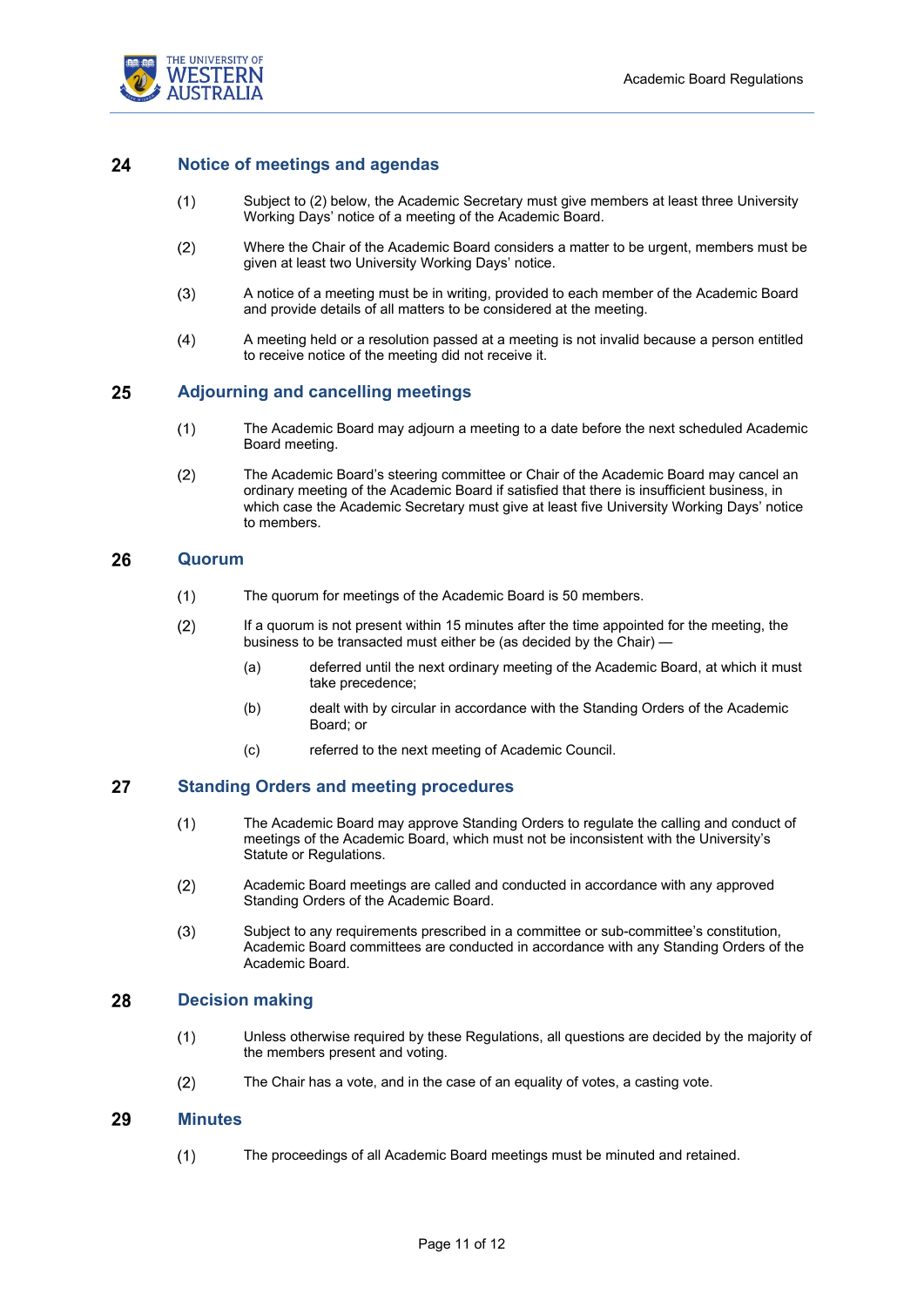

#### <span id="page-10-6"></span><span id="page-10-0"></span>24 **Notice of meetings and agendas**

- Subject t[o \(2\)](#page-10-6) below, the Academic Secretary must give members at least three University  $(1)$ Working Days' notice of a meeting of the Academic Board.
- Where the Chair of the Academic Board considers a matter to be urgent, members must be  $(2)$ given at least two University Working Days' notice.
- $(3)$ A notice of a meeting must be in writing, provided to each member of the Academic Board and provide details of all matters to be considered at the meeting.
- $(4)$ A meeting held or a resolution passed at a meeting is not invalid because a person entitled to receive notice of the meeting did not receive it.

#### <span id="page-10-1"></span>25 **Adjourning and cancelling meetings**

- $(1)$ The Academic Board may adjourn a meeting to a date before the next scheduled Academic Board meeting.
- $(2)$ The Academic Board's steering committee or Chair of the Academic Board may cancel an ordinary meeting of the Academic Board if satisfied that there is insufficient business, in which case the Academic Secretary must give at least five University Working Days' notice to members.

#### <span id="page-10-2"></span>26 **Quorum**

- The quorum for meetings of the Academic Board is 50 members.  $(1)$
- $(2)$ If a quorum is not present within 15 minutes after the time appointed for the meeting, the business to be transacted must either be (as decided by the Chair) -
	- (a) deferred until the next ordinary meeting of the Academic Board, at which it must take precedence;
	- (b) dealt with by circular in accordance with the Standing Orders of the Academic Board; or
	- (c) referred to the next meeting of Academic Council.

#### <span id="page-10-3"></span>27 **Standing Orders and meeting procedures**

- $(1)$ The Academic Board may approve Standing Orders to regulate the calling and conduct of meetings of the Academic Board, which must not be inconsistent with the University's Statute or Regulations.
- $(2)$ Academic Board meetings are called and conducted in accordance with any approved Standing Orders of the Academic Board.
- $(3)$ Subject to any requirements prescribed in a committee or sub-committee's constitution, Academic Board committees are conducted in accordance with any Standing Orders of the Academic Board.

#### <span id="page-10-4"></span>28 **Decision making**

- $(1)$ Unless otherwise required by these Regulations, all questions are decided by the majority of the members present and voting.
- $(2)$ The Chair has a vote, and in the case of an equality of votes, a casting vote.

#### <span id="page-10-5"></span>29 **Minutes**

 $(1)$ The proceedings of all Academic Board meetings must be minuted and retained.